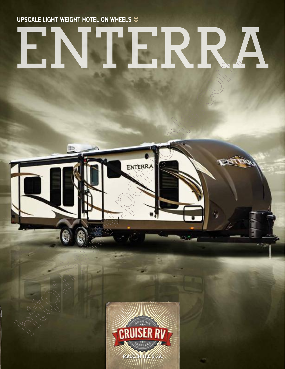UPSCALE LIGHT WEIGHT HOTEL ON WHEELS  $\approx$ 

ENTERRA

 $\Diamond$ 

**ATTER** 

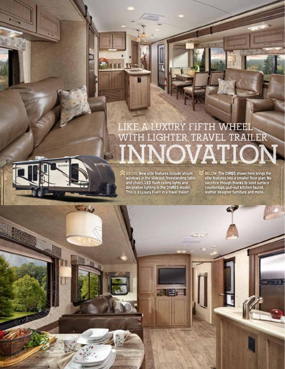# **like a luxury fifth wheel** WITH LIGHTER, TRAVEL TRAILER **indo**

ABOVE: New elite features include atrium windows in the slideout, freestanding table and chairs, LED flush ceiling lights and decorative lighting in the 314RES model. This is a Luxury Five'r in a travel trailer! ‹‹

**ALE** 

**STA** 

BELOW: The 29RBS shown here brings the elite features into a smaller floor plan. No sacrifice though thanks to solid surface countertops, pull-out kitchen faucet, leather designer furniture and more. ‹‹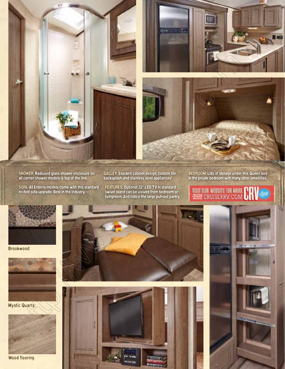

SHOWER: Radiused glass shower enclosure on all corner shower models is top of the line.

SOFA: All Enterra models come with this standard tri-fold sofa upgrade. Best in the industry.

GALLEY: Stacked cabinet design, custom tile backsplash and stainless steel appliances!

FEATURES: Optional 32" LED TV in standard swivel stand can be viewed from bedroom or livingroom. And notice the large pull-out pantry.

### BEDROOM: Lots of storage under this Queen bed in the private bedroom with many other amenities.

VISIT OUR WEBSITE FOR MORE

Brookwood



Wood flooring